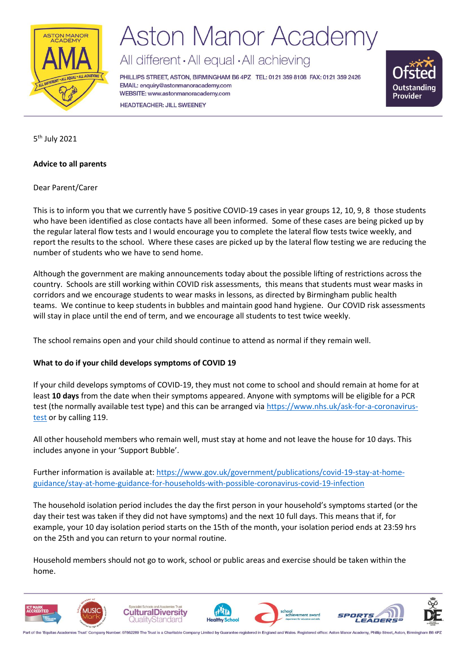

## **Aston Manor Academy**

All different · All equal · All achieving

PHILLIPS STREET, ASTON, BIRMINGHAM B6 4PZ TEL: 0121 359 8108 FAX: 0121 359 2426 EMAIL: enquiry@astonmanoracademy.com WEBSITE: www.astonmanoracademy.com **HEADTEACHER: JILL SWEENEY** 



5<sup>th</sup> July 2021

### **Advice to all parents**

Dear Parent/Carer

This is to inform you that we currently have 5 positive COVID-19 cases in year groups 12, 10, 9, 8 those students who have been identified as close contacts have all been informed. Some of these cases are being picked up by the regular lateral flow tests and I would encourage you to complete the lateral flow tests twice weekly, and report the results to the school. Where these cases are picked up by the lateral flow testing we are reducing the number of students who we have to send home.

Although the government are making announcements today about the possible lifting of restrictions across the country. Schools are still working within COVID risk assessments, this means that students must wear masks in corridors and we encourage students to wear masks in lessons, as directed by Birmingham public health teams. We continue to keep students in bubbles and maintain good hand hygiene. Our COVID risk assessments will stay in place until the end of term, and we encourage all students to test twice weekly.

The school remains open and your child should continue to attend as normal if they remain well.

### **What to do if your child develops symptoms of COVID 19**

If your child develops symptoms of COVID-19, they must not come to school and should remain at home for at least **10 days** from the date when their symptoms appeared. Anyone with symptoms will be eligible for a PCR test (the normally available test type) and this can be arranged vi[a https://www.nhs.uk/ask-for-a-coronavirus](https://www.nhs.uk/ask-for-a-coronavirus-test)[test](https://www.nhs.uk/ask-for-a-coronavirus-test) or by calling 119.

All other household members who remain well, must stay at home and not leave the house for 10 days. This includes anyone in your 'Support Bubble'.

Further information is available at: [https://www.gov.uk/government/publications/covid-19-stay-at-home](https://www.gov.uk/government/publications/covid-19-stay-at-home-guidance/stay-at-home-guidance-for-households-with-possible-coronavirus-covid-19-infection)[guidance/stay-at-home-guidance-for-households-with-possible-coronavirus-covid-19-infection](https://www.gov.uk/government/publications/covid-19-stay-at-home-guidance/stay-at-home-guidance-for-households-with-possible-coronavirus-covid-19-infection)

The household isolation period includes the day the first person in your household's symptoms started (or the day their test was taken if they did not have symptoms) and the next 10 full days. This means that if, for example, your 10 day isolation period starts on the 15th of the month, your isolation period ends at 23:59 hrs on the 25th and you can return to your normal routine.

Household members should not go to work, school or public areas and exercise should be taken within the home.

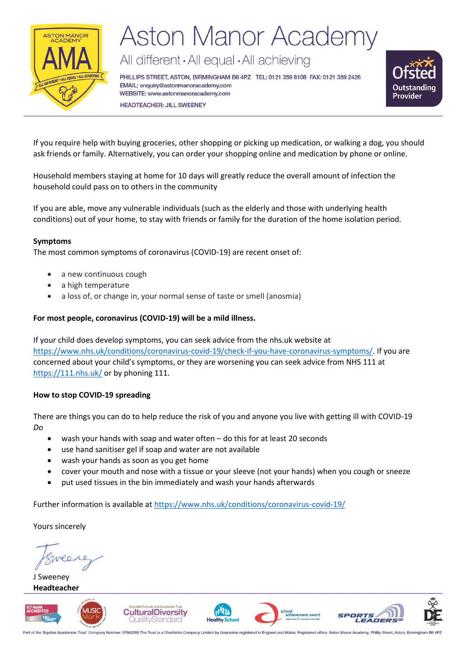

# **Aston Manor Academy**

All different · All equal · All achieving

PHILLIPS STREET, ASTON, BIRMINGHAM B6 4PZ TEL: 0121 359 8108 FAX: 0121 359 2426 EMAIL: enquiry@astonmanoracademy.com WEBSITE: www.astonmanoracademy.com **HEADTEACHER: JILL SWEENEY** 



If you require help with buying groceries, other shopping or picking up medication, or walking a dog, you should ask friends or family. Alternatively, you can order your shopping online and medication by phone or online.

Household members staying at home for 10 days will greatly reduce the overall amount of infection the household could pass on to others in the community

If you are able, move any vulnerable individuals (such as the elderly and those with underlying health conditions) out of your home, to stay with friends or family for the duration of the home isolation period.

### **Symptoms**

The most common symptoms of coronavirus (COVID-19) are recent onset of:

- a new continuous cough
- a high temperature
- a loss of, or change in, your normal sense of taste or smell (anosmia)

#### **For most people, coronavirus (COVID-19) will be a mild illness.**

If your child does develop symptoms, you can seek advice from the nhs.uk website at [https://www.nhs.uk/conditions/coronavirus-covid-19/check-if-you-have-coronavirus-symptoms/.](https://www.nhs.uk/conditions/coronavirus-covid-19/check-if-you-have-coronavirus-symptoms/) If you are concerned about your child's symptoms, or they are worsening you can seek advice from NHS 111 at <https://111.nhs.uk/> or by phoning 111.

#### **How to stop COVID-19 spreading**

There are things you can do to help reduce the risk of you and anyone you live with getting ill with COVID-19 *Do*

- wash your hands with soap and water often do this for at least 20 seconds
- use hand sanitiser gel if soap and water are not available
- wash your hands as soon as you get home
- cover your mouth and nose with a tissue or your sleeve (not your hands) when you cough or sneeze
- put used tissues in the bin immediately and wash your hands afterwards

Further information is available at<https://www.nhs.uk/conditions/coronavirus-covid-19/>

Yours sincerely

J Sweeney **Headteacher**